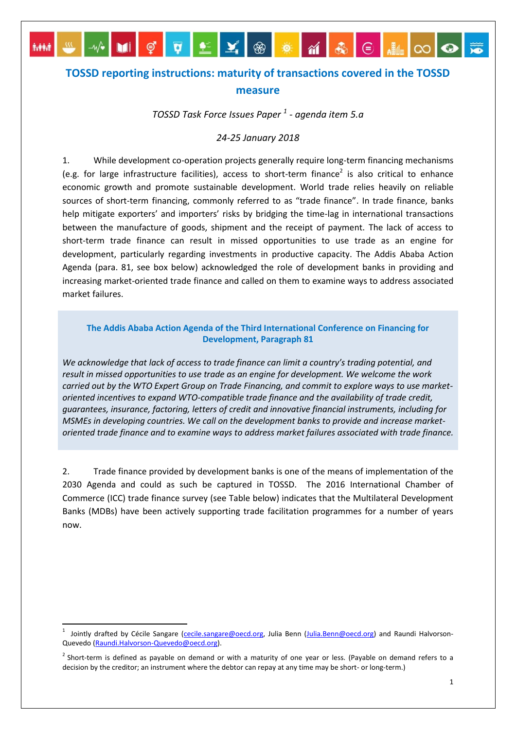## **TOSSD reporting instructions: maturity of transactions covered in the TOSSD measure**

 $\overline{\mathbb{G}}$  .

**M** 

**A444** 

*TOSSD Task Force Issues Paper <sup>1</sup> - agenda item 5.a*

## *24-25 January 2018*

1. While development co-operation projects generally require long-term financing mechanisms (e.g. for large infrastructure facilities), access to short-term finance<sup>2</sup> is also critical to enhance economic growth and promote sustainable development. World trade relies heavily on reliable sources of short-term financing, commonly referred to as "trade finance". In trade finance, banks help mitigate exporters' and importers' risks by bridging the time-lag in international transactions between the manufacture of goods, shipment and the receipt of payment. The lack of access to short-term trade finance can result in missed opportunities to use trade as an engine for development, particularly regarding investments in productive capacity. The Addis Ababa Action Agenda (para. 81, see box below) acknowledged the role of development banks in providing and increasing market-oriented trade finance and called on them to examine ways to address associated market failures.

## **The Addis Ababa Action Agenda of the Third International Conference on Financing for Development, Paragraph 81**

*We acknowledge that lack of access to trade finance can limit a country's trading potential, and result in missed opportunities to use trade as an engine for development. We welcome the work carried out by the WTO Expert Group on Trade Financing, and commit to explore ways to use marketoriented incentives to expand WTO-compatible trade finance and the availability of trade credit, guarantees, insurance, factoring, letters of credit and innovative financial instruments, including for MSMEs in developing countries. We call on the development banks to provide and increase marketoriented trade finance and to examine ways to address market failures associated with trade finance.*

2. Trade finance provided by development banks is one of the means of implementation of the 2030 Agenda and could as such be captured in TOSSD. The 2016 International Chamber of Commerce (ICC) trade finance survey (see Table below) indicates that the Multilateral Development Banks (MDBs) have been actively supporting trade facilitation programmes for a number of years now.

 $\overline{a}$ 

<sup>&</sup>lt;sup>1</sup> Jointly drafted by Cécile Sangare [\(cecile.sangare@oecd.org,](mailto:cecile.sangare@oecd.org) Julia Benn [\(Julia.Benn@oecd.org\)](mailto:Julia.Benn@oecd.org) and Raundi Halvorson-Quevedo [\(Raundi.Halvorson-Quevedo@oecd.org\)](mailto:Raundi.Halvorson-Quevedo@oecd.org).

 $2$  Short-term is defined as payable on demand or with a maturity of one year or less. (Payable on demand refers to a decision by the creditor; an instrument where the debtor can repay at any time may be short- or long-term.)